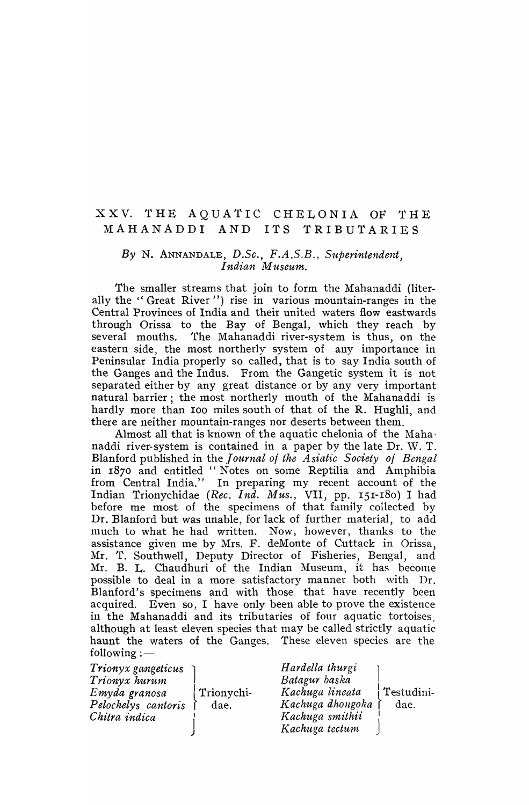# XXV. THE AQUATIC CHELONIA OF THE MAHANADDI AND ITS TRIBUTARIES

#### *By* N. ANNANDALE, *D.Sc., F.A.S.B., Superintendent,*  Indian Museum.

The smaller streams that join to form the Mahanaddi (literally the "Great River") rise in various mountain-ranges in the Central Provinces of India and their united waters flow eastwards through Orissa to the Bay of Bengal, which they reach by several mouths. The Mahanaddi river-system is thus, on the eastern side, the most northerly system of any importance in Peninsular India properly so called, that is to say India south of the Ganges and the Indus. From the Gangetic system it is not separated either by any great distance or by any very important natural barrier; the most northerly mouth of the Mahanaddi is hardly more than 100 miles south of that of the R. Hughli, and there are neither mountain-ranges nor deserts between them.

Almost all that is known of the aquatic chelonia of the Mahanaddi river-system is contained in a paper by the late Dr. \V. T. Blanford published in the *Journal of the Asialt'c Society of Bengal*  in 1870 and entitled "Notes on some Reptilia and Amphibia from Central India." In preparing my recent account of the Indian Trionychidae *(Rec. Ind. Mus.,* VII, pp. 151-180) I had before me most of the specimens of that family collected by Dr. Blanford but was unable, for lack of further material, to add much to what he had written. Now, however, thanks to the assistance given me by Mrs. F. deMonte of Cuttack in Orissa, Mr. T. Southwell, Deputy Director of Fisheries, Bengal, and Mr. B. L. Chaudhuri of the Indian Museum, it has become possible to deal in a more satisfactory manner both with Dr. Blanford's specimens and with those that have recently been acquired. Even so, I have only been able to prove the existence in the Mahanaddi and its tributaries of four aquatic tortoises, although at least eleven species that may be called strictly aquatic haunt the waters of the Ganges. These eleven species are the  $following: -$ 

| <i>Trionyx gangeticus</i><br>Trionyx hurum<br>Emyda granosa<br>Pelochelys cantoris<br>Chitra indica | Trionychi-<br>dae. | Hardella thurgi<br>Batagur baska<br>Kachuga lineata<br>Kachuga dhongoka<br>Kachuga smithii | Testudini-<br>dae. |
|-----------------------------------------------------------------------------------------------------|--------------------|--------------------------------------------------------------------------------------------|--------------------|
|                                                                                                     |                    | Kachuga tectum                                                                             |                    |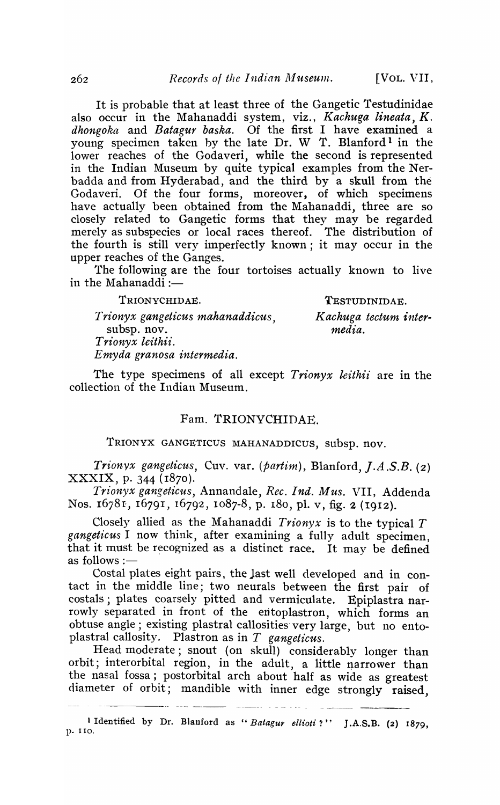It is probable that at least three of the Gangetic Testudinidae also occur in the Mahanaddi system, viz., *Kachuga lineata, K. dhongoka* and *Batagur baska.* Of the first I have examined a young specimen taken by the late Dr. W T. Blanford<sup>1</sup> in the lower reaches of the Godaveri, while the second is represented in the Indian Museum by quite typical examples from the Nerbadda and from Hyderabad, and the third by a skull from the Goda veri. Of the four forms, moreover, of which specimens have actually been obtained from the Mahanaddi, three are so closely related to Gangetic forms that they may be regarded merely as subspecies or local races thereof. The distribution of the fourth is still very imperfectly known; it may occur in the upper reaches of the Ganges.

The following are tbe four tortoises actually known to live in the Mahanaddi  $:$ 

TRIONYCHIDAE.

TESTUDINIDAE.

*K achuga tectum inter ..* 

*Trionyx gangeticus mahanaddicus,*  subsp. nov. *Trionyx leithii. Emyda granosa intermedia.* 

*media.* 

The type specimens of all except *Trionyx leithii* are in the collection of the Indian Museum.

## Fam. TRIONVCHIDAE.

TRIONYX GANGETICUS MAHANADDICUS, subsp. nov.

*Trionyx gangeticus, Cuv. var. (partim), Blanford, J.A.S.B. (2)* XXXIX, p. 344 (1870).

*Trionyx gangeticus,* Annandale, *Rec. Ind. Mus.* VII, Addenda Nos. 16781, 16791, 16792, 1087-8, p. 180, pl. v, fig. 2 (1912).

Closely allied as the Mahanaddi  $Trionyx$  is to the typical  $T$ *gangeticus* I now think, after exanlining a fully adult specimen, that it must be recognized as a distinct race. It may be defined as follows : $-$ 

Costal plates eight pairs, the jast well developed and in contact in the middle line; two neurals between the first pair of costals; plates coarsely pitted and vermiculate. Epiplastra narrowly separated in front of the entoplastron, which forms an obtuse angle; existing plastral callosities very large, but no entoplastral callosity. Plastron as in  $T$  gangeticus.

Head moderate; snout (on skull) considerably longer than orbit; interorbital region, in the adult, a little narrower than the nasal fossa; postorbital arch about half as wide as greatest diameter of orbit; mandible with inner edge strongly raised,

<sup>1</sup> Identified by Dr. Blanford as "Batagur ellioti?" J.A.S.B. (2) 1879, p. 110.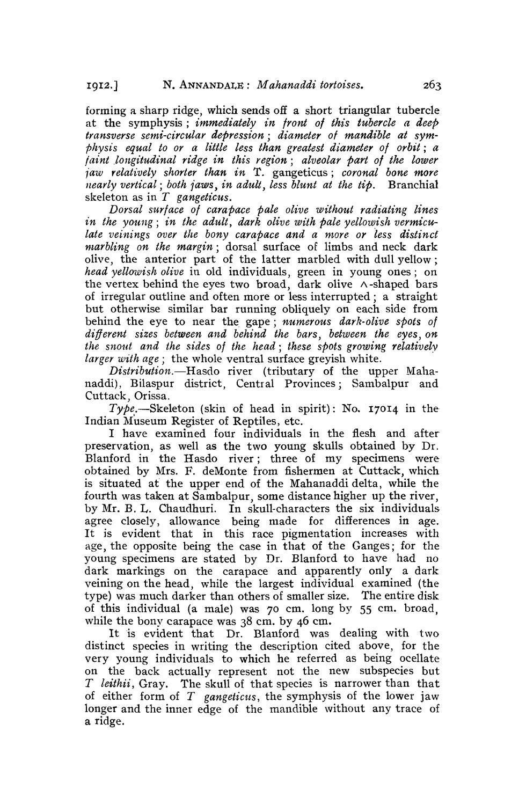forming a sharp ridge, which sends off a short triangular tubercle at the symphysis; *immediately in Iront 01 this tubercle a deep transverse semi-circular depression; diameter of mandible at symphysis equal to or a little less than greatest diameter of orbit; a faint ,longitud",'nal ridge in this region; alveolar part 01 the lower iaw relatively shorter than in* T. gangeticus; *coronal bone more nearly vertical; both iaws, in adult, less blunt at the tip.* Branchial skeleton as in *T gangeticus.* 

*Dorsal surlace 01 carapace pale olive without radiating lines in the young; in the adult, dark olive with pale yellowish vermiculate veinings over the bony carapace and a more or less distinct ntarbling on the margin;* dorsal surface of limbs and neck dark olive, the anterior part of the latter marbled with dull yellow; *head yellowish olive* in old individuals, green in young ones; on the vertex behind the eyes two broad, dark olive  $\land$ -shaped bars of irregular outline and often more or less interrupted; a straight but otherwise similar bar running obliquely on each side from behind the eye to near the, gape; *numerous dark-olive spots of different sizes between and behind the bars, between the eyes, on the snout and the sides of the head; these spots growing relatively larger with age;* the whole ventral surface greyish white.

*Distribution.*-Hasdo river (tributary of the upper Mahanaddi), Bilaspur district, Central Provinces; Sambalpur and Cuttack, Orissa.

*Type.-Skeleton* (skin of head in spirit): No. 17014 in the-Indian Museum Register of Reptiles, etc.

I have examined four individuals in the flesh and after preservation, as well as the two young skulls obtained by Dr. Blanford in the Hasdo river; three of my specimens were obtained by Mrs. F. deMonte from fishermen at Cuttack, which is situated at' the upper end of the Mahanaddi delta, while the fourth was taken at Sambalpur, some distance higher up the river, by Mr. B. L. Chaudhuri. In skull-characters the six individuals agree closely, allowance being made for differences in age. It is evident that in this race pigmentation increases with age, the opposite being the case in that of the Ganges; for the young specimens are stated by Dr. Blanford to have had no dark markings on the carapace and apparently only a dark veining on the head, while the largest individual examined (the type) was much darker than others of smaller size. The entire disk of this individual (a male) was 70 cm. long by 55 cm. broad, while the bony carapace was  $38$  cm. by 46 cm.

It is evident that Dr. Blanford was dealing with two distinct species in writing the description cited above, for the very young individuals to which he referred as being ocellate on the back actually represent not the new subspecies but *T leithii,* Gray. The skull of that species is narrower than that of either form of *T* gangeticus, the symphysis of the lower jaw longer and the inner edge of the mandible without any trace of a ridge.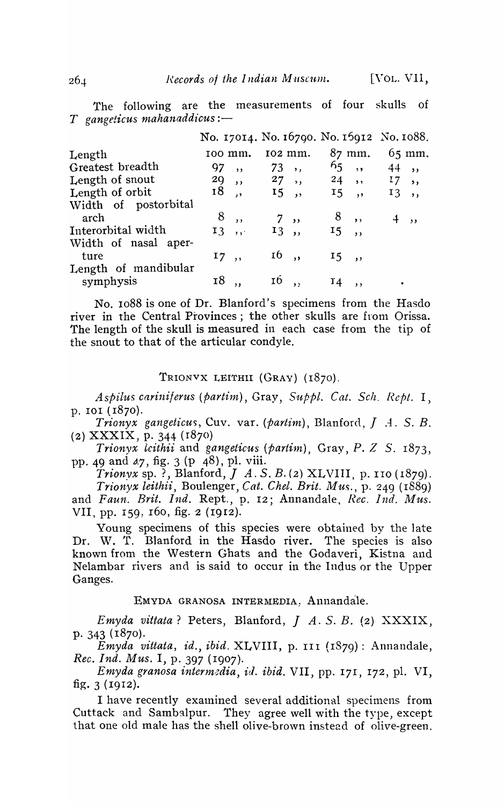The following are the measurements of four skulls of *T* gangeticus mahanaddicus :-

|                                            | No. 17014. No. 16790. No. 15912 No. 1088. |                          |         |  |                     |       |                   |  |  |
|--------------------------------------------|-------------------------------------------|--------------------------|---------|--|---------------------|-------|-------------------|--|--|
| Length                                     | 100 mm.                                   |                          | 102 mm. |  | $87 \text{ mm}$ .   |       | $65 \text{ mm}$ . |  |  |
| Greatest breadth                           | 97                                        | $\overline{\phantom{a}}$ | 73,     |  | 65                  |       | , 44,             |  |  |
| Length of snout                            |                                           |                          |         |  | 29, 27, 24, 24, 17, |       |                   |  |  |
| Length of orbit                            |                                           | 18,                      | 15,     |  | I5, 13,             |       |                   |  |  |
| Width of postorbital<br>arch               |                                           | 8,                       | 7,      |  | 8,                  |       | 4,                |  |  |
| Interorbital width<br>Width of nasal aper- |                                           | 13,                      | 13,     |  | 15,                 |       |                   |  |  |
| ture<br>Length of mandibular               |                                           | $17,$ ,                  | $16$ ,  |  | 15,                 |       |                   |  |  |
| symphysis                                  | 18                                        | $\overline{\mathbf{v}}$  | 16,     |  | $r_4$               | $,$ , |                   |  |  |

No. 1088 is one of Dr. Blanford's specimens from the Hasdo river in the Central Provinces; the other skulls are from Orissa. The length of the skull is measured in each case from the tip of the snout to that of the articular condyle.

#### TRIONVX LEITHI1 (GRAY) (1870).

*Aspilus cariniferus (partim), Gray, Suppl. Cat. Sch. Rept.* I, p. 101 (1870).

*Trionyx gangeticus, Cuv. var. (partim), Blanford, J.A. S.B.* (2) XXXIX, p. 344 (r87o)

*Trionyx leithii* and *gangeticus* (*partim*), Gray, P. *Z S.* 1873, pp. 49 and  $\alpha$ 7, fig. 3 (p 48), pl. viii.

*Trionyx* sp. ?, Blanford, J *A.* S. B. (2) XLVIII, p. 110 (1879). *Trionyx leithii, Boulenger, Cat. Chel. Brit. Mus., p. 249 (1889)* and *Faun. Brit. Ind.* Rept., p. 12; Annandale, Rec. Ind. Mus. VII, pp. 159, 160, fig. 2 (1912).

Young specimens of this species were obtained by the late Dr. W. T. Blanford in the Hasdo river. The species is also known from the Western Ghats and the Godaveri, Kistna and Nelambar rivers and is said to occur in the Indus or the Upper Ganges.

## EMYDA GRANOSA INTERMEDIA, Annandale.

*Emyda vittata?* Peters, Blanford, *J* A. S. B. (2) XXXIX, p. 343 (1870).

*Emyda vittata, id., ibid.* XLVIII, p. III (1879): Annandale, *Rec. Ind. Mus.* I, p. 397 (I907).

*Emyda granosa intermedia, id. ibid.* VII, pp. 171, 172, pl. VI, fig. 3 (1912).

I have recently examined several additional specimens from Cuttack and Sambalpur. They agree well with the type, except that one old male has the shell olive-brown instead of olive-green.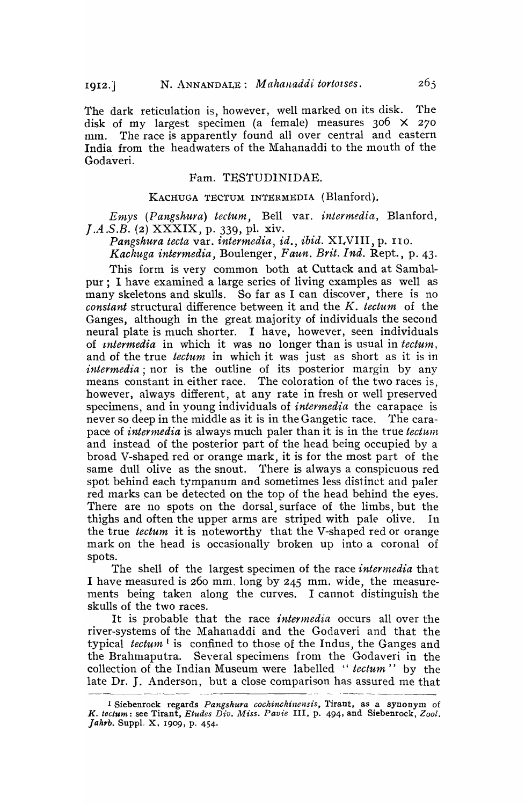The dark reticulation is, however, well marked on its disk. The disk of my largest specimen (a female) measures 306 X 270 mm. The race is apparently found all over central and eastern India from the headwaters of the Mahanaddi to the mouth of the Godaveri.

## Fam. TESTUDINIDAE.

#### KACHUGA TECTUM 1NTERMED1A (Blanford).

*Entys (Pangshura) tectum,* Bell var. *intermedia,* Blanford, *J.A .S.B.* (2) XXXIX, p. 339, pl. xiv.

*Pangshura tecta* var. *intermedia, id., ibid.* XLVIII, p. 110.

*Kachuga intermedia, Boulenger, Faun. Brit. Ind. Rept., p. 43.* 

This form is very common both at Cuttack and at Sambalpur; I have examined a large series of living examples as well as many skeletons and skulls. So far as I can discover, there is no *constant* structural difference between it and the K. *tectum* of the Ganges, although in the great majority of individuals the second neural plate is much shorter. I have, however, seen individuals of *intermedia* in which it was no longer than is usual in *tectum*, and of the true *tectunt* in which it was just as short as it is in *intermedia* ; nor is the outline of its posterior margin by any means constant in either race. The coloration of the two races is, however, always different, at any rate in fresh or well preserved specimens, and in young individuals of *intermedia* the carapace is never so deep in the middle as it is in the Gangetic race. The carapace of *intermedia* is always much paler than it is in the true *tectum* and instead of the posterior part of the head being occupied by a broad V-shaped red or orange mark, it is for the most part of the same dull olive as the snout. There is always a conspicuous red spot behind each tympanum and sometimes less distinct and paler red marks can be detected on the top of the head behind the eyes. There are no spots on the dorsal surface of the limbs, but the thighs and often the upper arms are striped with pale olive. In the true *tectum* it is noteworthy that the V-shaped red or orange mark on the head is occasionally broken up into a coronal of spots.

The shell of the largest specimen of the race *intermedia* that I have measured is 260 mm. long by 245 mm. wide, the measurements being taken along the curves. I cannot distinguish the skulls of the two races.

It is probable that the race *intermedia* occurs all over the river-systems of the Mahanaddi and the Godaveri and that the typical *tectum*<sup>1</sup> is confined to those of the Indus, the Ganges and the Brahmaputra. Several specimens from the Godaveri in the collection of the Indian Museum were labelled *"teetun?'''* by the late Dr. J. Anderson, but a close comparison has assured me that

<sup>1</sup> Siebenrock regards *Pangshura cochinchinensis,* l'irant, as a synonym of *K. tectum: see Tirant, Etudes Div. Miss. Pavie III, p. 494, and Siebenrock, Zool.* Jahrb. Suppl. X. 1909, p. 454.